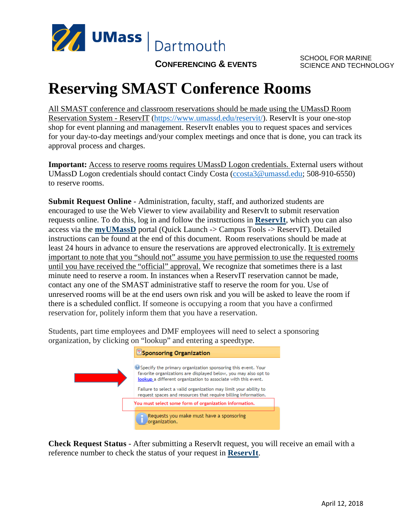

SCHOOL FOR MARINE SCIENCE AND TECHNOLOGY

## **CONFERENCING & EVENTS**

## **Reserving SMAST Conference Rooms**

All SMAST conference and classroom reservations should be made using the UMassD Room Reservation System - ReservIT [\(https://www.umassd.edu/reservit/\)](https://www.umassd.edu/reservit/). ReservIt is your one-stop shop for event planning and management. ReservIt enables you to request spaces and services for your day-to-day meetings and/your complex meetings and once that is done, you can track its approval process and charges.

**Important:** Access to reserve rooms requires UMassD Logon credentials. External users without UMassD Logon credentials should contact Cindy Costa [\(ccosta3@umassd.edu;](mailto:ccosta3@umassd.edu) 508-910-6550) to reserve rooms.

**Submit Request Online** - Administration, faculty, staff, and authorized students are encouraged to use the Web Viewer to view availability and ReservIt to submit reservation requests online. To do this, log in and follow the instructions in **[ReservIt](https://reservit.umassd.edu/)**, which you can also access via the **[myUMassD](https://my.umassd.edu/)** portal (Quick Launch -> Campus Tools -> ReservIT). Detailed instructions can be found at the end of this document. Room reservations should be made at least 24 hours in advance to ensure the reservations are approved electronically. It is extremely important to note that you "should not" assume you have permission to use the requested rooms until you have received the "official" approval. We recognize that sometimes there is a last minute need to reserve a room. In instances when a ReservIT reservation cannot be made, contact any one of the SMAST administrative staff to reserve the room for you. Use of unreserved rooms will be at the end users own risk and you will be asked to leave the room if there is a scheduled conflict. If someone is occupying a room that you have a confirmed reservation for, politely inform them that you have a reservation.

Students, part time employees and DMF employees will need to select a sponsoring organization, by clicking on "lookup" and entering a speedtype.



**Check Request Status** - After submitting a ReservIt request, you will receive an email with a reference number to check the status of your request in **[ReservIt](https://reservit.umassd.edu/)**.